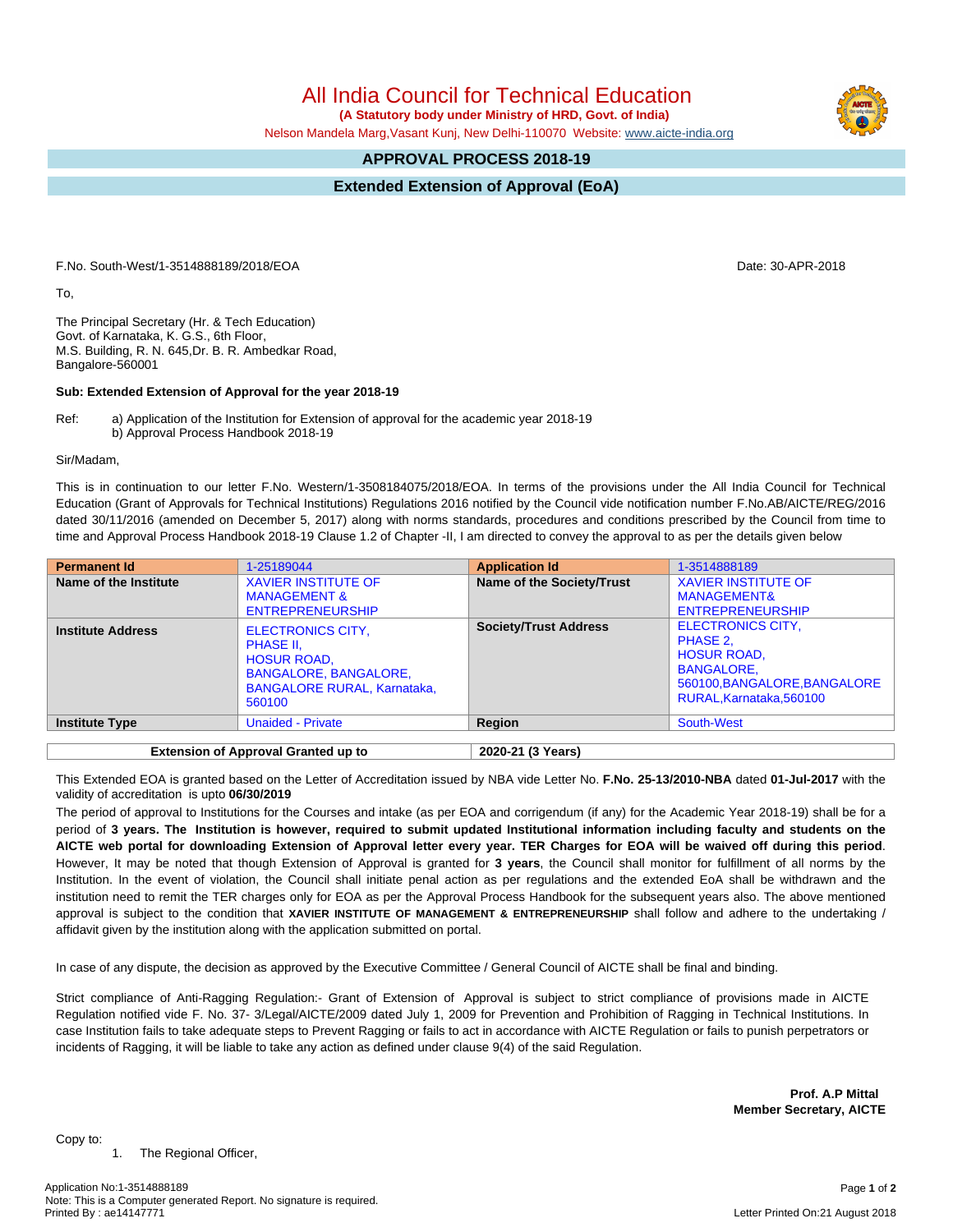1. The Regional Officer,

Copy to:

All India Council for Technical Education

 **(A Statutory body under Ministry of HRD, Govt. of India)**

Nelson Mandela Marg,Vasant Kunj, New Delhi-110070 Website: [www.aicte-india.org](http://www.aicte-india.org)

## **APPROVAL PROCESS 2018-19**

**Extended Extension of Approval (EoA)**

F.No. South-West/1-3514888189/2018/EOA Date: 30-APR-2018

To,

The Principal Secretary (Hr. & Tech Education) Govt. of Karnataka, K. G.S., 6th Floor, M.S. Building, R. N. 645,Dr. B. R. Ambedkar Road, Bangalore-560001

## **Sub: Extended Extension of Approval for the year 2018-19**

Ref: a) Application of the Institution for Extension of approval for the academic year 2018-19 b) Approval Process Handbook 2018-19

Sir/Madam,

This is in continuation to our letter F.No. Western/1-3508184075/2018/EOA. In terms of the provisions under the All India Council for Technical Education (Grant of Approvals for Technical Institutions) Regulations 2016 notified by the Council vide notification number F.No.AB/AICTE/REG/2016 dated 30/11/2016 (amended on December 5, 2017) along with norms standards, procedures and conditions prescribed by the Council from time to time and Approval Process Handbook 2018-19 Clause 1.2 of Chapter -II, I am directed to convey the approval to as per the details given below

| <b>Permanent Id</b>                        | 1-25189044                                                                                                                                  | <b>Application Id</b>        | 1-3514888189                                                                                                                              |
|--------------------------------------------|---------------------------------------------------------------------------------------------------------------------------------------------|------------------------------|-------------------------------------------------------------------------------------------------------------------------------------------|
| Name of the Institute                      | <b>XAVIER INSTITUTE OF</b><br><b>MANAGEMENT &amp;</b><br><b>ENTREPRENEURSHIP</b>                                                            | Name of the Society/Trust    | <b>XAVIER INSTITUTE OF</b><br><b>MANAGEMENT&amp;</b><br><b>ENTREPRENEURSHIP</b>                                                           |
| <b>Institute Address</b>                   | <b>ELECTRONICS CITY,</b><br>PHASE II,<br><b>HOSUR ROAD,</b><br><b>BANGALORE, BANGALORE,</b><br><b>BANGALORE RURAL, Karnataka,</b><br>560100 | <b>Society/Trust Address</b> | <b>ELECTRONICS CITY,</b><br>PHASE 2,<br><b>HOSUR ROAD,</b><br><b>BANGALORE.</b><br>560100, BANGALORE, BANGALORE<br>RURAL.Karnataka.560100 |
| <b>Institute Type</b>                      | <b>Unaided - Private</b>                                                                                                                    | Region                       | South-West                                                                                                                                |
|                                            |                                                                                                                                             |                              |                                                                                                                                           |
| <b>Extension of Approval Granted up to</b> |                                                                                                                                             | 2020-21 (3 Years)            |                                                                                                                                           |

This Extended EOA is granted based on the Letter of Accreditation issued by NBA vide Letter No. **F.No. 25-13/2010-NBA** dated **01-Jul-2017** with the validity of accreditation is upto **06/30/2019**

The period of approval to Institutions for the Courses and intake (as per EOA and corrigendum (if any) for the Academic Year 2018-19) shall be for a period of 3 years. The Institution is however, required to submit updated Institutional information including faculty and students on the AICTE web portal for downloading Extension of Approval letter every year. TER Charges for EOA will be waived off during this period. However, It may be noted that though Extension of Approval is granted for **3 years**, the Council shall monitor for fulfillment of all norms by the Institution. In the event of violation, the Council shall initiate penal action as per regulations and the extended EoA shall be withdrawn and the institution need to remit the TER charges only for EOA as per the Approval Process Handbook for the subsequent years also. The above mentioned approval is subject to the condition that **XAVIER INSTITUTE OF MANAGEMENT & ENTREPRENEURSHIP** shall follow and adhere to the undertaking / affidavit given by the institution along with the application submitted on portal.

In case of any dispute, the decision as approved by the Executive Committee / General Council of AICTE shall be final and binding.

Strict compliance of Anti-Ragging Regulation:- Grant of Extension of Approval is subject to strict compliance of provisions made in AICTE Regulation notified vide F. No. 37- 3/Legal/AICTE/2009 dated July 1, 2009 for Prevention and Prohibition of Ragging in Technical Institutions. In case Institution fails to take adequate steps to Prevent Ragging or fails to act in accordance with AICTE Regulation or fails to punish perpetrators or incidents of Ragging, it will be liable to take any action as defined under clause 9(4) of the said Regulation.

> **Prof. A.P Mittal Member Secretary, AICTE**